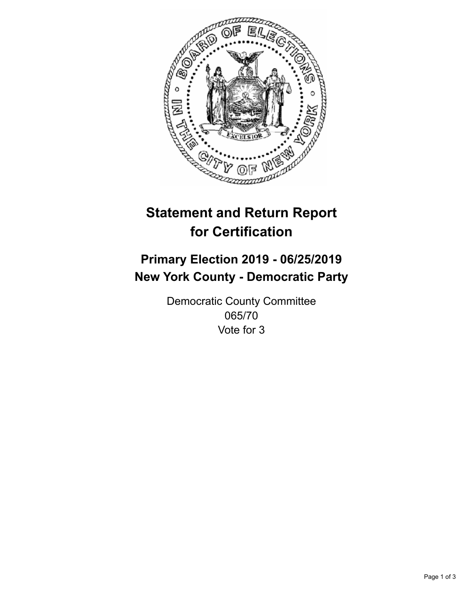

## **Statement and Return Report for Certification**

## **Primary Election 2019 - 06/25/2019 New York County - Democratic Party**

Democratic County Committee 065/70 Vote for 3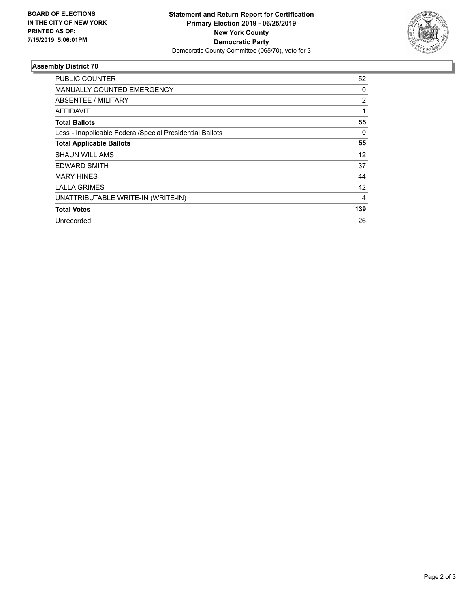

## **Assembly District 70**

| PUBLIC COUNTER                                           | 52  |
|----------------------------------------------------------|-----|
| <b>MANUALLY COUNTED EMERGENCY</b>                        | 0   |
| ABSENTEE / MILITARY                                      | 2   |
| AFFIDAVIT                                                | 1   |
| <b>Total Ballots</b>                                     | 55  |
| Less - Inapplicable Federal/Special Presidential Ballots | 0   |
| <b>Total Applicable Ballots</b>                          | 55  |
| <b>SHAUN WILLIAMS</b>                                    | 12  |
| <b>EDWARD SMITH</b>                                      | 37  |
| <b>MARY HINES</b>                                        | 44  |
| <b>LALLA GRIMES</b>                                      | 42  |
| UNATTRIBUTABLE WRITE-IN (WRITE-IN)                       | 4   |
| <b>Total Votes</b>                                       | 139 |
| Unrecorded                                               | 26  |